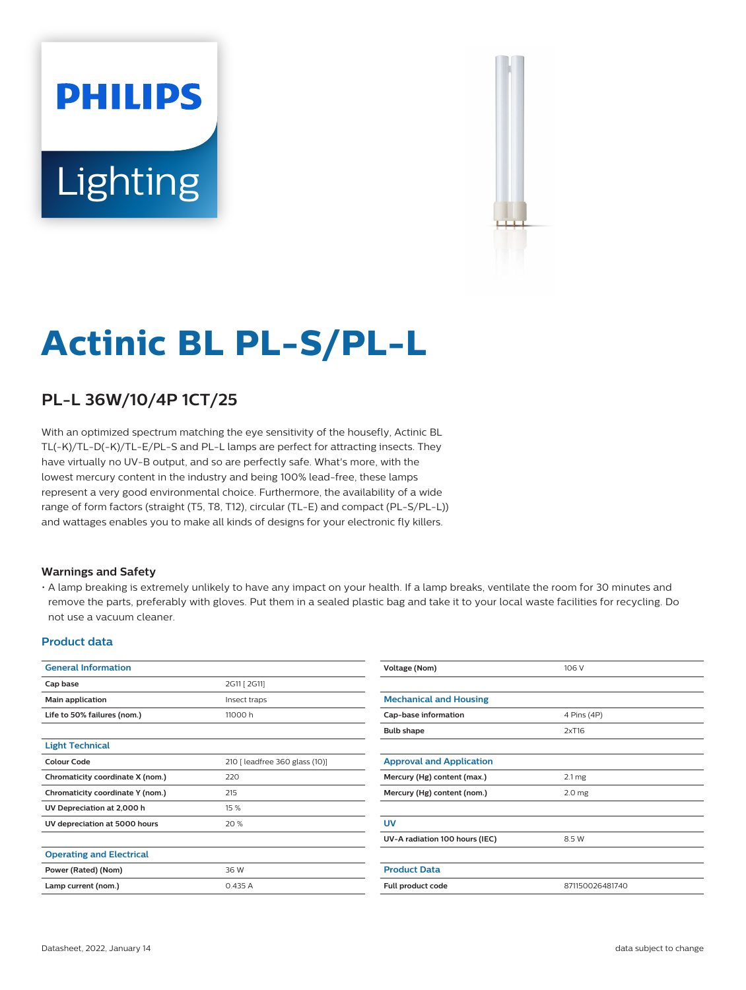# **PHILIPS** Lighting



# **Actinic BL PL-S/PL-L**

## **PL-L 36W/10/4P 1CT/25**

With an optimized spectrum matching the eye sensitivity of the housefly, Actinic BL TL(-K)/TL-D(-K)/TL-E/PL-S and PL-L lamps are perfect for attracting insects. They have virtually no UV-B output, and so are perfectly safe. What's more, with the lowest mercury content in the industry and being 100% lead-free, these lamps represent a very good environmental choice. Furthermore, the availability of a wide range of form factors (straight (T5, T8, T12), circular (TL-E) and compact (PL-S/PL-L)) and wattages enables you to make all kinds of designs for your electronic fly killers.

#### **Warnings and Safety**

• A lamp breaking is extremely unlikely to have any impact on your health. If a lamp breaks, ventilate the room for 30 minutes and remove the parts, preferably with gloves. Put them in a sealed plastic bag and take it to your local waste facilities for recycling. Do not use a vacuum cleaner.

#### **Product data**

| <b>General Information</b>       |                                | Voltage (Nom)                   | 106 V             |
|----------------------------------|--------------------------------|---------------------------------|-------------------|
| Cap base                         | 2G11 [ 2G11]                   |                                 |                   |
| Main application                 | Insect traps                   | <b>Mechanical and Housing</b>   |                   |
| Life to 50% failures (nom.)      | 11000h                         | Cap-base information            | 4 Pins (4P)       |
|                                  |                                | <b>Bulb shape</b>               | 2xT16             |
| <b>Light Technical</b>           |                                |                                 |                   |
| <b>Colour Code</b>               | 210 [ leadfree 360 glass (10)] | <b>Approval and Application</b> |                   |
| Chromaticity coordinate X (nom.) | 220                            | Mercury (Hg) content (max.)     | $2.1 \, mg$       |
| Chromaticity coordinate Y (nom.) | 215                            | Mercury (Hg) content (nom.)     | 2.0 <sub>mg</sub> |
| UV Depreciation at 2,000 h       | 15 %                           |                                 |                   |
| UV depreciation at 5000 hours    | 20 %                           | <b>UV</b>                       |                   |
|                                  |                                | UV-A radiation 100 hours (IEC)  | 8.5 W             |
| <b>Operating and Electrical</b>  |                                |                                 |                   |
| Power (Rated) (Nom)              | 36 W                           | <b>Product Data</b>             |                   |
| Lamp current (nom.)              | 0.435A                         | Full product code               | 871150026481740   |
|                                  |                                |                                 |                   |